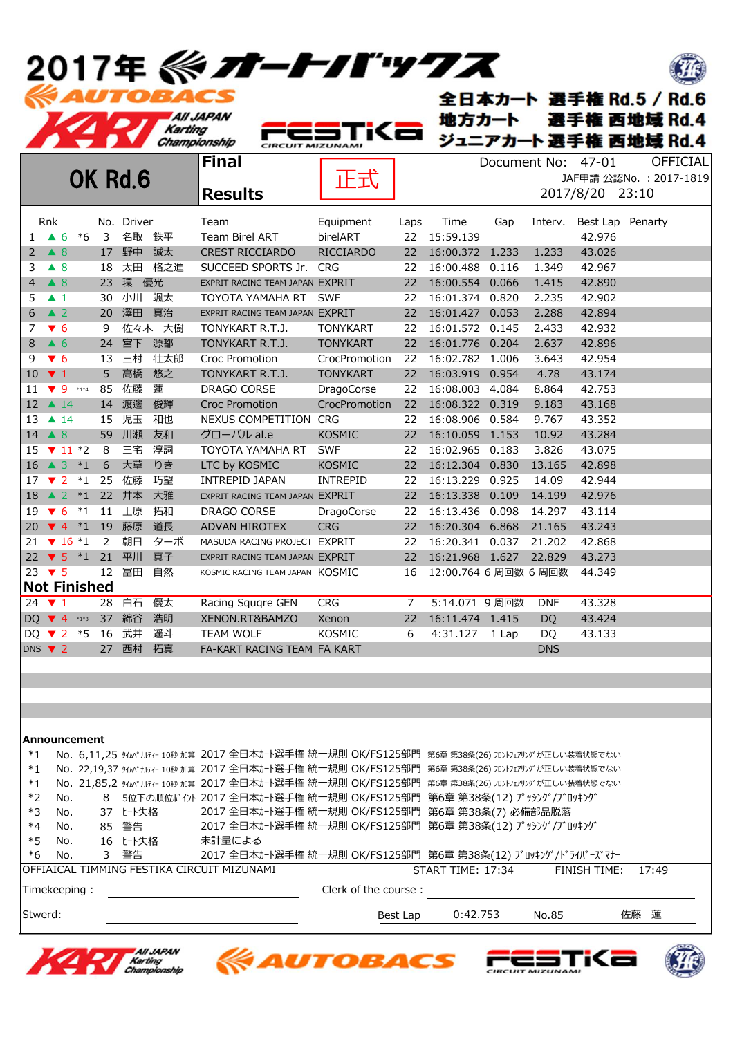| 2017年 <i>《 オートバックス</i>     |                              |         |    |                      |                         |                                                                                                                                                                                                |                      |          |                       |       |              |                          |       |                 |
|----------------------------|------------------------------|---------|----|----------------------|-------------------------|------------------------------------------------------------------------------------------------------------------------------------------------------------------------------------------------|----------------------|----------|-----------------------|-------|--------------|--------------------------|-------|-----------------|
|                            |                              |         |    |                      |                         |                                                                                                                                                                                                |                      |          |                       |       |              | 全日本カート 選手権 Rd.5 / Rd.6   |       |                 |
|                            |                              |         |    |                      |                         | Ali JAPAN                                                                                                                                                                                      |                      |          | 地方カート                 |       |              | 選手権 西地域 Rd.4             |       |                 |
|                            |                              |         |    |                      | Karting<br>Championship |                                                                                                                                                                                                |                      |          |                       |       |              | ジュニアカート 選手権 西地域 Rd.4     |       |                 |
|                            |                              |         |    |                      |                         | CIBCUIT MIZUNAM<br><b>Final</b>                                                                                                                                                                |                      |          |                       |       | Document No: | $47 - 01$                |       | <b>OFFICIAL</b> |
|                            |                              |         |    | OK Rd.6              |                         |                                                                                                                                                                                                | 正式                   |          |                       |       |              | JAF申請 公認No.: 2017-1819   |       |                 |
|                            |                              |         |    |                      |                         | <b>Results</b>                                                                                                                                                                                 |                      |          |                       |       |              | 2017/8/20 23:10          |       |                 |
|                            | Rnk                          |         |    | No. Driver           |                         | Team                                                                                                                                                                                           | Equipment            | Laps     | Time                  | Gap   |              | Interv. Best Lap Penarty |       |                 |
| 1                          | $\triangle$ 6                | $*6$    | 3  |                      | 名取 鉄平                   | Team Birel ART                                                                                                                                                                                 | birelART             | 22       | 15:59.139             |       |              | 42.976                   |       |                 |
| 2                          | $\triangle$ 8                |         | 17 | 野中                   | 誠太                      | CREST RICCIARDO                                                                                                                                                                                | <b>RICCIARDO</b>     | 22       | 16:00.372 1.233       |       | 1.233        | 43.026                   |       |                 |
| 3                          | $\blacktriangle$ 8           |         | 18 | 太田                   | 格之進                     | SUCCEED SPORTS Jr.                                                                                                                                                                             | <b>CRG</b>           | 22       | 16:00.488             | 0.116 | 1.349        | 42.967                   |       |                 |
| $\overline{4}$             | $\triangle$ 8                |         | 23 | 環                    | 優光                      | EXPRIT RACING TEAM JAPAN EXPRIT                                                                                                                                                                |                      | 22       | 16:00.554             | 0.066 | 1.415        | 42.890                   |       |                 |
| 5                          | $\blacktriangle$ 1           |         | 30 | 小川                   | 颯太                      | TOYOTA YAMAHA RT                                                                                                                                                                               | <b>SWF</b>           | 22       | 16:01.374             | 0.820 | 2.235        | 42.902                   |       |                 |
| 6                          | $\triangle$ 2                |         | 20 | 澤田                   | 真治                      | EXPRIT RACING TEAM JAPAN EXPRIT                                                                                                                                                                |                      | 22       | 16:01.427             | 0.053 | 2.288        | 42.894                   |       |                 |
| 7                          | $\blacktriangledown$ 6       |         | 9  |                      | 佐々木 大樹                  | TONYKART R.T.J.                                                                                                                                                                                | TONYKART             | 22       | 16:01.572             | 0.145 | 2.433        | 42.932                   |       |                 |
| 8                          | $\triangle$ 6                |         | 24 | 宮下                   | 源都                      | TONYKART R.T.J.                                                                                                                                                                                | <b>TONYKART</b>      | 22       | 16:01.776             | 0.204 | 2.637        | 42.896                   |       |                 |
| 9                          | $\blacktriangledown$ 6       |         | 13 | 三村                   | 壮太郎                     | Croc Promotion                                                                                                                                                                                 | CrocPromotion        | 22       | 16:02.782             | 1.006 | 3.643        | 42.954                   |       |                 |
| 10                         | $\mathbf{v}$ 1               |         | 5  | 高橋                   | 悠之                      | TONYKART R.T.J.                                                                                                                                                                                | <b>TONYKART</b>      | 22       | 16:03.919             | 0.954 | 4.78         | 43.174                   |       |                 |
| 11                         | $\blacktriangledown 9$ *1*4  |         | 85 | 佐藤                   | 蓮                       | <b>DRAGO CORSE</b>                                                                                                                                                                             | <b>DragoCorse</b>    | 22       | 16:08.003             | 4.084 | 8.864        | 42.753                   |       |                 |
| 12 <sup>2</sup>            | $\triangle$ 14               |         | 14 | 渡邊                   | 俊輝                      | <b>Croc Promotion</b>                                                                                                                                                                          | CrocPromotion        | 22       | 16:08.322             | 0.319 | 9.183        | 43.168                   |       |                 |
| 13                         | $\blacktriangle$ 14          |         | 15 | 児玉                   | 和也                      | NEXUS COMPETITION                                                                                                                                                                              | <b>CRG</b>           | 22       | 16:08.906             | 0.584 | 9.767        | 43.352                   |       |                 |
| 14                         | $\triangle$ 8                |         | 59 | 川瀬                   | 友和                      | グローバル al.e                                                                                                                                                                                     | <b>KOSMIC</b>        | 22       | 16:10.059             | 1.153 | 10.92        | 43.284                   |       |                 |
| 15                         | $\blacktriangledown$ 11 $*2$ |         | 8  | 三宅                   | 淳詞                      | TOYOTA YAMAHA RT                                                                                                                                                                               | <b>SWF</b>           | 22       | 16:02.965             | 0.183 | 3.826        | 43.075                   |       |                 |
| 16                         | $\triangle$ 3                | $*_{1}$ | 6  | 大草                   | りき                      | LTC by KOSMIC                                                                                                                                                                                  | <b>KOSMIC</b>        | 22       | 16:12.304             | 0.830 | 13.165       | 42.898                   |       |                 |
| 17                         | $\blacktriangledown$ 2       | $^*1$   | 25 | 佐藤                   | 巧望                      | <b>INTREPID JAPAN</b>                                                                                                                                                                          | <b>INTREPID</b>      | 22       | 16:13.229             | 0.925 | 14.09        | 42.944                   |       |                 |
| 18                         | $\triangle$ 2                | $*_{1}$ | 22 | 井本                   | 大雅                      | EXPRIT RACING TEAM JAPAN EXPRIT                                                                                                                                                                |                      | 22       | 16:13.338             | 0.109 | 14.199       | 42.976                   |       |                 |
| 19                         | $\blacktriangledown$ 6       | $*_{1}$ | 11 | 上原                   | 拓和                      | <b>DRAGO CORSE</b>                                                                                                                                                                             | <b>DragoCorse</b>    | 22       | 16:13.436             | 0.098 | 14.297       | 43.114                   |       |                 |
| 20                         | $\blacktriangledown$ 4       | $*_{1}$ | 19 | 藤原                   | 道長                      | <b>ADVAN HIROTEX</b>                                                                                                                                                                           | <b>CRG</b>           | 22       | 16:20.304             | 6.868 | 21.165       | 43.243                   |       |                 |
| 21                         | $\blacktriangledown$ 16      | $^*1$   | 2  | 朝日                   | ターボ                     | MASUDA RACING PROJECT EXPRIT                                                                                                                                                                   |                      | 22       | 16:20.341             | 0.037 | 21.202       | 42.868                   |       |                 |
| 22                         | $\blacktriangledown$ 5       | $*_{1}$ | 21 | 平川                   | 真子                      | EXPRIT RACING TEAM JAPAN EXPRIT                                                                                                                                                                |                      | 22       | 16:21.968             | 1.627 | 22.829       | 43.273                   |       |                 |
| 23                         | $\blacktriangledown$ 5       |         | 12 | 冨田                   | 自然                      | KOSMIC RACING TEAM JAPAN KOSMIC                                                                                                                                                                |                      | 16       | 12:00.764 6 周回数 6 周回数 |       |              | 44.349                   |       |                 |
| <b>Not Finished</b>        |                              |         |    |                      |                         |                                                                                                                                                                                                |                      |          |                       |       |              |                          |       |                 |
|                            | 24 $\blacktriangledown$ 1    |         |    | 28 白石 優太             |                         | Racing Squqre GEN                                                                                                                                                                              | <b>CRG</b>           | 7        | 5:14.071 9 周回数        |       | <b>DNF</b>   | 43.328                   |       |                 |
|                            |                              |         |    | DO ▼ 4 *1*3 37 綿谷 浩明 |                         | XENON.RT&BAMZO                                                                                                                                                                                 | Xenon                |          | 22 16:11.474 1.415    |       | DQ           | 43.424                   |       |                 |
|                            |                              |         |    | DQ ▼ 2 *5 16 武井 遥斗   |                         | <b>TEAM WOLF</b>                                                                                                                                                                               | KOSMIC               | 6        | 4:31.127 1 Lap        |       | DQ           | 43.133                   |       |                 |
| DNS $\blacktriangledown$ 2 |                              |         |    | 27 西村 拓真             |                         | FA-KART RACING TEAM FA KART                                                                                                                                                                    |                      |          |                       |       | <b>DNS</b>   |                          |       |                 |
|                            |                              |         |    |                      |                         |                                                                                                                                                                                                |                      |          |                       |       |              |                          |       |                 |
|                            |                              |         |    |                      |                         |                                                                                                                                                                                                |                      |          |                       |       |              |                          |       |                 |
|                            |                              |         |    |                      |                         |                                                                                                                                                                                                |                      |          |                       |       |              |                          |       |                 |
|                            |                              |         |    |                      |                         |                                                                                                                                                                                                |                      |          |                       |       |              |                          |       |                 |
|                            |                              |         |    |                      |                         |                                                                                                                                                                                                |                      |          |                       |       |              |                          |       |                 |
| Announcement               |                              |         |    |                      |                         |                                                                                                                                                                                                |                      |          |                       |       |              |                          |       |                 |
| $*_{1}$                    |                              |         |    |                      |                         | No. 6,11,25 タイムペナルティー 10秒 加算 2017 全日本カート選手権 統一規則 OK/FS125部門 第6章第38条(26) フロントフェアリングが正しい装着状態でない                                                                                                  |                      |          |                       |       |              |                          |       |                 |
| $*_{1}$<br>$*_{1}$         |                              |         |    |                      |                         | No. 22,19,37 タイムペナルティー 10秒 加算 2017 全日本カート選手権 統一規則 OK/FS125部門 第6章第38条(26) フロントフェアリングが正しい装着状態でない<br>No. 21,85,2 タイムペナルティー 10秒 加算 2017 全日本カート選手権統一規則 OK/FS125部門 第6章第38条(26) フロントフェアリングが正しい装着状態でない |                      |          |                       |       |              |                          |       |                 |
| $*2$                       | No.                          |         |    |                      |                         | 8 5位下の順位ポイント 2017 全日本カート選手権 統一規則 OK/FS125部門 第6章 第38条(12) プッシング/ブロッキング                                                                                                                          |                      |          |                       |       |              |                          |       |                 |
| $*3$                       | No.                          |         |    | 37 比卡失格              |                         | 2017 全日本カート選手権 統一規則 OK/FS125部門 第6章 第38条(7) 必備部品脱落                                                                                                                                              |                      |          |                       |       |              |                          |       |                 |
| $*4$                       | No.                          |         |    | 85 警告                |                         | 2017 全日本カート選手権 統一規則 OK/FS125部門 第6章 第38条(12) プッシング/ブロッキング                                                                                                                                       |                      |          |                       |       |              |                          |       |                 |
| $*5$                       | No.                          |         |    | 16 比卡失格              |                         | 未計量による                                                                                                                                                                                         |                      |          |                       |       |              |                          |       |                 |
| $*6$                       | No.                          |         |    | 3 警告                 |                         | 2017 全日本カート選手権統一規則 OK/FS125部門 第6章 第38条(12) ブロッキング/ドライバーズマナー                                                                                                                                    |                      |          |                       |       |              |                          |       |                 |
|                            |                              |         |    |                      |                         | OFFIAICAL TIMMING FESTIKA CIRCUIT MIZUNAMI                                                                                                                                                     |                      |          | START TIME: 17:34     |       |              | FINISH TIME:             | 17:49 |                 |
| Timekeeping:               |                              |         |    |                      |                         |                                                                                                                                                                                                | Clerk of the course: |          |                       |       |              |                          |       |                 |
| Stwerd:                    |                              |         |    |                      |                         |                                                                                                                                                                                                |                      | Best Lap | 0:42.753              |       | No.85        |                          | 佐藤 蓮  |                 |
|                            |                              |         |    |                      |                         |                                                                                                                                                                                                |                      |          |                       |       |              |                          |       |                 |